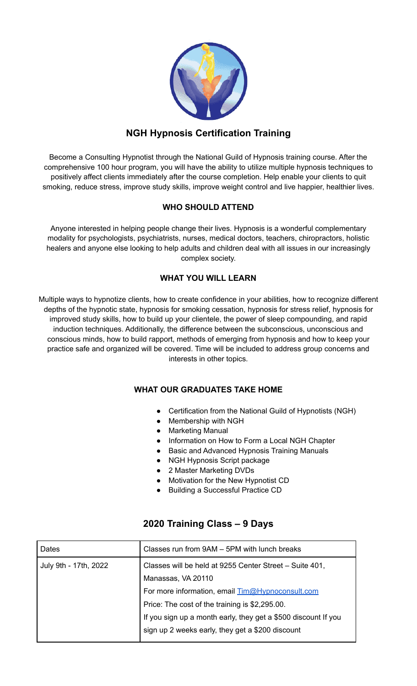|                                                  | i.                  | $\alpha = \alpha$<br>٠<br>×<br>v<br>٠<br>٠<br>r,<br>× |
|--------------------------------------------------|---------------------|-------------------------------------------------------|
| l<br>R<br>٠<br>٠<br>Ø.<br>ð<br>ı                 | Í<br>aid.<br>٠<br>٠ | <b>Albert</b>                                         |
| i<br>٠<br>٠<br>٠<br>臔<br>٠<br>Юn<br>×.<br>ю<br>n | ë                   |                                                       |
|                                                  |                     |                                                       |

## **NGH Hypnosis Certification Training**

Become a Consulting Hypnotist through the National Guild of Hypnosis training course. After the comprehensive 100 hour program, you will have the ability to utilize multiple hypnosis techniques to positively affect clients immediately after the course completion. Help enable your clients to quit smoking, reduce stress, improve study skills, improve weight control and live happier, healthier lives.

#### **WHO SHOULD ATTEND**

Anyone interested in helping people change their lives. Hypnosis is a wonderful complementary modality for psychologists, psychiatrists, nurses, medical doctors, teachers, chiropractors, holistic healers and anyone else looking to help adults and children deal with all issues in our increasingly complex society.

#### **WHAT YOU WILL LEARN**

Multiple ways to hypnotize clients, how to create confidence in your abilities, how to recognize different depths of the hypnotic state, hypnosis for smoking cessation, hypnosis for stress relief, hypnosis for improved study skills, how to build up your clientele, the power of sleep compounding, and rapid induction techniques. Additionally, the difference between the subconscious, unconscious and conscious minds, how to build rapport, methods of emerging from hypnosis and how to keep your practice safe and organized will be covered. Time will be included to address group concerns and interests in other topics.

#### **WHAT OUR GRADUATES TAKE HOME**

- Certification from the National Guild of Hypnotists (NGH)
- Membership with NGH
- Marketing Manual
- Information on How to Form a Local NGH Chapter
- Basic and Advanced Hypnosis Training Manuals
- NGH Hypnosis Script package
- 2 Master Marketing DVDs
- Motivation for the New Hypnotist CD
- **Building a Successful Practice CD**

| Dates                 | Classes run from 9AM - 5PM with lunch breaks                   |
|-----------------------|----------------------------------------------------------------|
| July 9th - 17th, 2022 | Classes will be held at 9255 Center Street - Suite 401,        |
|                       | Manassas, VA 20110                                             |
|                       | For more information, email <b>Tim@Hypnoconsult.com</b>        |
|                       | Price: The cost of the training is \$2,295.00.                 |
|                       | If you sign up a month early, they get a \$500 discount If you |
|                       | sign up 2 weeks early, they get a \$200 discount               |

### **2020 Training Class – 9 Days**